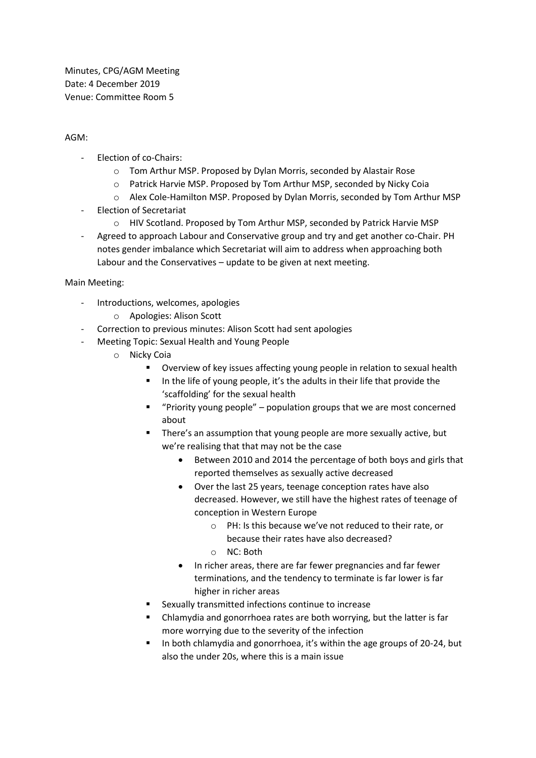Minutes, CPG/AGM Meeting Date: 4 December 2019 Venue: Committee Room 5

## AGM:

- Election of co-Chairs:
	- o Tom Arthur MSP. Proposed by Dylan Morris, seconded by Alastair Rose
	- o Patrick Harvie MSP. Proposed by Tom Arthur MSP, seconded by Nicky Coia
	- o Alex Cole-Hamilton MSP. Proposed by Dylan Morris, seconded by Tom Arthur MSP
- Election of Secretariat
	- o HIV Scotland. Proposed by Tom Arthur MSP, seconded by Patrick Harvie MSP
- Agreed to approach Labour and Conservative group and try and get another co-Chair. PH notes gender imbalance which Secretariat will aim to address when approaching both Labour and the Conservatives – update to be given at next meeting.

Main Meeting:

- Introductions, welcomes, apologies
	- o Apologies: Alison Scott
- Correction to previous minutes: Alison Scott had sent apologies
- Meeting Topic: Sexual Health and Young People
	- o Nicky Coia
		- Overview of key issues affecting young people in relation to sexual health
		- In the life of young people, it's the adults in their life that provide the 'scaffolding' for the sexual health
		- "Priority young people" population groups that we are most concerned about
		- There's an assumption that young people are more sexually active, but we're realising that that may not be the case
			- Between 2010 and 2014 the percentage of both boys and girls that reported themselves as sexually active decreased
			- Over the last 25 years, teenage conception rates have also decreased. However, we still have the highest rates of teenage of conception in Western Europe
				- o PH: Is this because we've not reduced to their rate, or because their rates have also decreased?
				- o NC: Both
			- In richer areas, there are far fewer pregnancies and far fewer terminations, and the tendency to terminate is far lower is far higher in richer areas
		- Sexually transmitted infections continue to increase
		- Chlamydia and gonorrhoea rates are both worrying, but the latter is far more worrying due to the severity of the infection
		- In both chlamydia and gonorrhoea, it's within the age groups of 20-24, but also the under 20s, where this is a main issue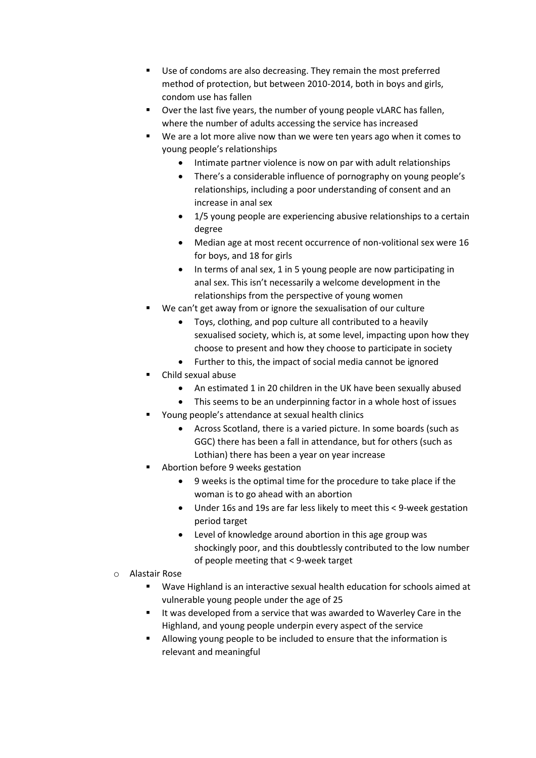- Use of condoms are also decreasing. They remain the most preferred method of protection, but between 2010-2014, both in boys and girls, condom use has fallen
- Over the last five years, the number of young people vLARC has fallen, where the number of adults accessing the service has increased
- We are a lot more alive now than we were ten years ago when it comes to young people's relationships
	- Intimate partner violence is now on par with adult relationships
	- There's a considerable influence of pornography on young people's relationships, including a poor understanding of consent and an increase in anal sex
	- 1/5 young people are experiencing abusive relationships to a certain degree
	- Median age at most recent occurrence of non-volitional sex were 16 for boys, and 18 for girls
	- In terms of anal sex, 1 in 5 young people are now participating in anal sex. This isn't necessarily a welcome development in the relationships from the perspective of young women
- We can't get away from or ignore the sexualisation of our culture
	- Toys, clothing, and pop culture all contributed to a heavily sexualised society, which is, at some level, impacting upon how they choose to present and how they choose to participate in society
	- Further to this, the impact of social media cannot be ignored
- Child sexual abuse
	- An estimated 1 in 20 children in the UK have been sexually abused
	- This seems to be an underpinning factor in a whole host of issues
- Young people's attendance at sexual health clinics
	- Across Scotland, there is a varied picture. In some boards (such as GGC) there has been a fall in attendance, but for others (such as Lothian) there has been a year on year increase
- Abortion before 9 weeks gestation
	- 9 weeks is the optimal time for the procedure to take place if the woman is to go ahead with an abortion
	- Under 16s and 19s are far less likely to meet this < 9-week gestation period target
	- Level of knowledge around abortion in this age group was shockingly poor, and this doubtlessly contributed to the low number of people meeting that < 9-week target
- o Alastair Rose
	- Wave Highland is an interactive sexual health education for schools aimed at vulnerable young people under the age of 25
	- It was developed from a service that was awarded to Waverley Care in the Highland, and young people underpin every aspect of the service
	- Allowing young people to be included to ensure that the information is relevant and meaningful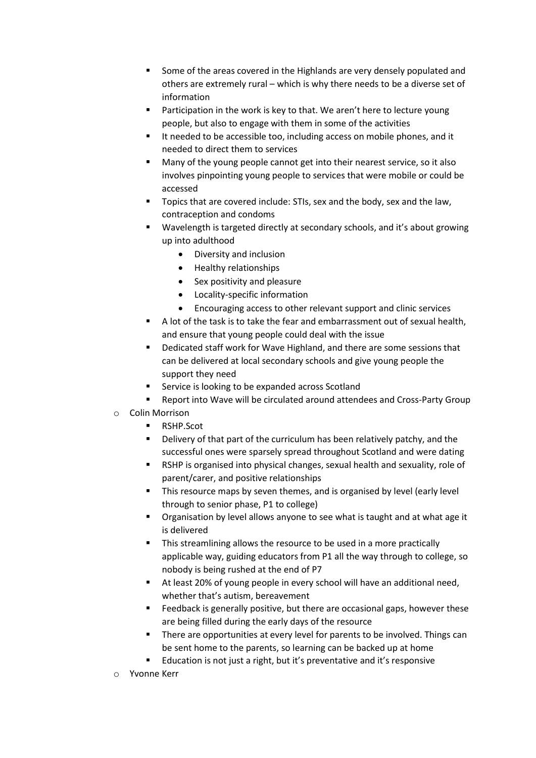- Some of the areas covered in the Highlands are very densely populated and others are extremely rural – which is why there needs to be a diverse set of information
- Participation in the work is key to that. We aren't here to lecture young people, but also to engage with them in some of the activities
- It needed to be accessible too, including access on mobile phones, and it needed to direct them to services
- Many of the young people cannot get into their nearest service, so it also involves pinpointing young people to services that were mobile or could be accessed
- Topics that are covered include: STIs, sex and the body, sex and the law, contraception and condoms
- Wavelength is targeted directly at secondary schools, and it's about growing up into adulthood
	- Diversity and inclusion
	- Healthy relationships
	- Sex positivity and pleasure
	- Locality-specific information
	- Encouraging access to other relevant support and clinic services
- A lot of the task is to take the fear and embarrassment out of sexual health, and ensure that young people could deal with the issue
- Dedicated staff work for Wave Highland, and there are some sessions that can be delivered at local secondary schools and give young people the support they need
- Service is looking to be expanded across Scotland
- Report into Wave will be circulated around attendees and Cross-Party Group
- o Colin Morrison
	- RSHP.Scot
	- Delivery of that part of the curriculum has been relatively patchy, and the successful ones were sparsely spread throughout Scotland and were dating
	- RSHP is organised into physical changes, sexual health and sexuality, role of parent/carer, and positive relationships
	- This resource maps by seven themes, and is organised by level (early level through to senior phase, P1 to college)
	- Organisation by level allows anyone to see what is taught and at what age it is delivered
	- This streamlining allows the resource to be used in a more practically applicable way, guiding educators from P1 all the way through to college, so nobody is being rushed at the end of P7
	- At least 20% of young people in every school will have an additional need, whether that's autism, bereavement
	- Feedback is generally positive, but there are occasional gaps, however these are being filled during the early days of the resource
	- There are opportunities at every level for parents to be involved. Things can be sent home to the parents, so learning can be backed up at home
	- Education is not just a right, but it's preventative and it's responsive
- o Yvonne Kerr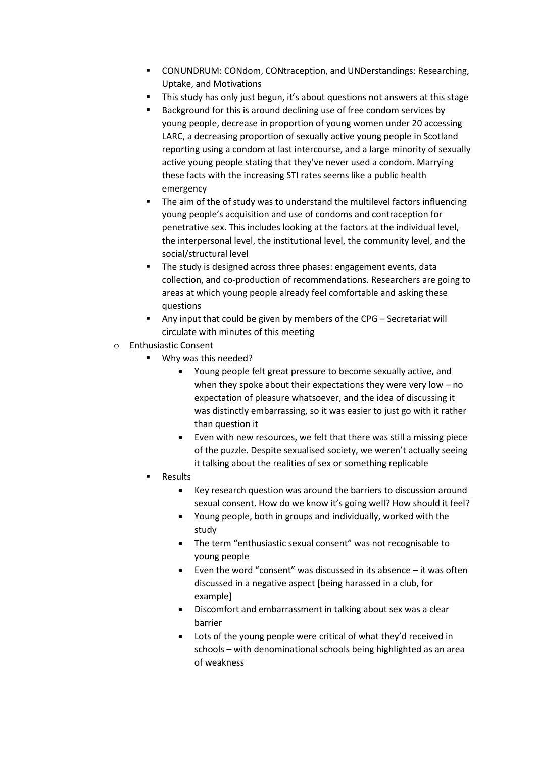- CONUNDRUM: CONdom, CONtraception, and UNDerstandings: Researching, Uptake, and Motivations
- **E** This study has only just begun, it's about questions not answers at this stage
- Background for this is around declining use of free condom services by young people, decrease in proportion of young women under 20 accessing LARC, a decreasing proportion of sexually active young people in Scotland reporting using a condom at last intercourse, and a large minority of sexually active young people stating that they've never used a condom. Marrying these facts with the increasing STI rates seems like a public health emergency
- The aim of the of study was to understand the multilevel factors influencing young people's acquisition and use of condoms and contraception for penetrative sex. This includes looking at the factors at the individual level, the interpersonal level, the institutional level, the community level, and the social/structural level
- The study is designed across three phases: engagement events, data collection, and co-production of recommendations. Researchers are going to areas at which young people already feel comfortable and asking these questions
- Any input that could be given by members of the CPG Secretariat will circulate with minutes of this meeting
- o Enthusiastic Consent
	- Why was this needed?
		- Young people felt great pressure to become sexually active, and when they spoke about their expectations they were very low – no expectation of pleasure whatsoever, and the idea of discussing it was distinctly embarrassing, so it was easier to just go with it rather than question it
		- Even with new resources, we felt that there was still a missing piece of the puzzle. Despite sexualised society, we weren't actually seeing it talking about the realities of sex or something replicable
	- **Results** 
		- Key research question was around the barriers to discussion around sexual consent. How do we know it's going well? How should it feel?
		- Young people, both in groups and individually, worked with the study
		- The term "enthusiastic sexual consent" was not recognisable to young people
		- Even the word "consent" was discussed in its absence it was often discussed in a negative aspect [being harassed in a club, for example]
		- Discomfort and embarrassment in talking about sex was a clear barrier
		- Lots of the young people were critical of what they'd received in schools – with denominational schools being highlighted as an area of weakness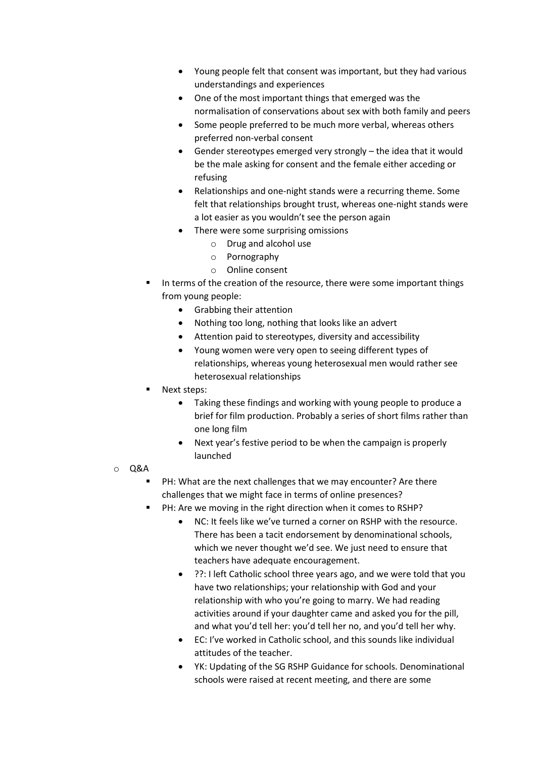- Young people felt that consent was important, but they had various understandings and experiences
- One of the most important things that emerged was the normalisation of conservations about sex with both family and peers
- Some people preferred to be much more verbal, whereas others preferred non-verbal consent
- Gender stereotypes emerged very strongly the idea that it would be the male asking for consent and the female either acceding or refusing
- Relationships and one-night stands were a recurring theme. Some felt that relationships brought trust, whereas one-night stands were a lot easier as you wouldn't see the person again
- There were some surprising omissions
	- o Drug and alcohol use
	- o Pornography
	- o Online consent
- In terms of the creation of the resource, there were some important things from young people:
	- Grabbing their attention
	- Nothing too long, nothing that looks like an advert
	- Attention paid to stereotypes, diversity and accessibility
	- Young women were very open to seeing different types of relationships, whereas young heterosexual men would rather see heterosexual relationships
- Next steps:
	- Taking these findings and working with young people to produce a brief for film production. Probably a series of short films rather than one long film
	- Next year's festive period to be when the campaign is properly launched
- o Q&A
	- PH: What are the next challenges that we may encounter? Are there challenges that we might face in terms of online presences?
	- PH: Are we moving in the right direction when it comes to RSHP?
		- NC: It feels like we've turned a corner on RSHP with the resource. There has been a tacit endorsement by denominational schools, which we never thought we'd see. We just need to ensure that teachers have adequate encouragement.
		- ??: I left Catholic school three years ago, and we were told that you have two relationships; your relationship with God and your relationship with who you're going to marry. We had reading activities around if your daughter came and asked you for the pill, and what you'd tell her: you'd tell her no, and you'd tell her why.
		- EC: I've worked in Catholic school, and this sounds like individual attitudes of the teacher.
		- YK: Updating of the SG RSHP Guidance for schools. Denominational schools were raised at recent meeting, and there are some